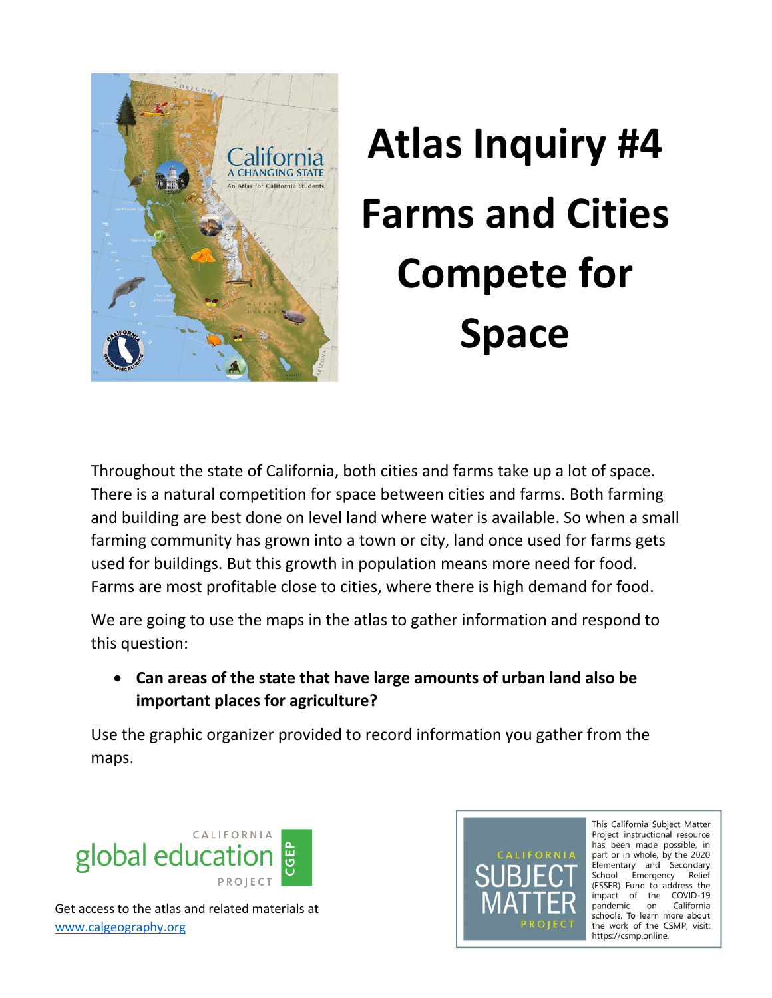

## **Atlas Inquiry #4 Farms and Cities Compete for Space**

Throughout the state of California, both cities and farms take up a lot of space. There is a natural competition for space between cities and farms. Both farming and building are best done on level land where water is available. So when a small farming community has grown into a town or city, land once used for farms gets used for buildings. But this growth in population means more need for food. Farms are most profitable close to cities, where there is high demand for food.

We are going to use the maps in the atlas to gather information and respond to this question:

 **Can areas of the state that have large amounts of urban land also be important places for agriculture?** 

Use the graphic organizer provided to record information you gather from the maps.





This California Subject Matter Project instructional resource has been made possible, in part or in whole, by the 2020 Elementary and Secondary School Emergency Relief (ESSER) Fund to address the impact of the COVID-19 pandemic on California schools. To learn more about the work of the CSMP, visit: https://csmp.online.

Get access to the atlas and related materials at [www.calgeography.org](http://www.calgeography.org/)